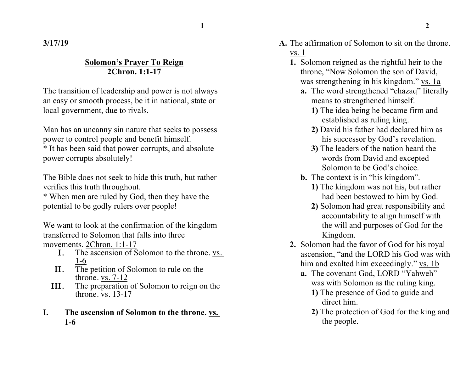**1 2**

**3/17/19**

## **Solomon's Prayer To Reign 2Chron. 1:1-17**

The transition of leadership and power is not always an easy or smooth process, be it in national, state or local government, due to rivals.

Man has an uncanny sin nature that seeks to possess power to control people and benefit himself.

\* It has been said that power corrupts, and absolute power corrupts absolutely!

The Bible does not seek to hide this truth, but rather verifies this truth throughout.

\* When men are ruled by God, then they have the potential to be godly rulers over people!

We want to look at the confirmation of the kingdom transferred to Solomon that falls into three movements. 2Chron. 1:1-17

- I. The ascension of Solomon to the throne. vs. 1-6
- II. The petition of Solomon to rule on the throne. vs. 7-12
- III. The preparation of Solomon to reign on the throne. vs. 13-17
- **I. The ascension of Solomon to the throne. vs. 1-6**
- **A.** The affirmation of Solomon to sit on the throne. vs. 1
	- **1.** Solomon reigned as the rightful heir to the throne, "Now Solomon the son of David, was strengthening in his kingdom." vs. 1a
		- **a.** The word strengthened "chazaq" literally means to strengthened himself.
			- **1)** The idea being he became firm and established as ruling king.
			- **2)** David his father had declared him as his successor by God's revelation.
			- **3)** The leaders of the nation heard the words from David and excepted Solomon to be God's choice.
		- **b.** The context is in "his kingdom".
			- **1)** The kingdom was not his, but rather had been bestowed to him by God.
			- **2)** Solomon had great responsibility and accountability to align himself with the will and purposes of God for the Kingdom.
	- **2.** Solomon had the favor of God for his royal ascension, "and the LORD his God was with him and exalted him exceedingly." vs. 1b
		- **a.** The covenant God, LORD "Yahweh" was with Solomon as the ruling king.
			- **1)** The presence of God to guide and direct him.
			- **2)** The protection of God for the king and the people.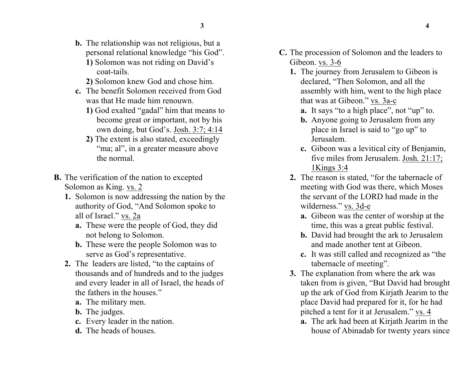- **b.** The relationship was not religious, but a personal relational knowledge "his God".
	- **1)** Solomon was not riding on David's coat-tails.
	- **2)** Solomon knew God and chose him.
- **c.** The benefit Solomon received from God was that He made him renouwn.
	- **1)** God exalted "gadal" him that means to become great or important, not by his own doing, but God's. Josh. 3:7; 4:14
	- **2)** The extent is also stated, exceedingly "ma; al", in a greater measure above the normal.
- **B.** The verification of the nation to excepted Solomon as King. vs. 2
	- **1.** Solomon is now addressing the nation by the authority of God, "And Solomon spoke to all of Israel." vs. 2a
		- **a.** These were the people of God, they did not belong to Solomon.
		- **b.** These were the people Solomon was to serve as God's representative.
	- **2.** The leaders are listed, "to the captains of thousands and of hundreds and to the judges and every leader in all of Israel, the heads of the fathers in the houses."
		- **a.** The military men.
		- **b.** The judges.
		- **c.** Every leader in the nation.
		- **d.** The heads of houses.
- **C.** The procession of Solomon and the leaders to Gibeon. vs. 3-6
	- **1.** The journey from Jerusalem to Gibeon is declared, "Then Solomon, and all the assembly with him, went to the high place that was at Gibeon." vs. 3a-c
		- **a.** It says "to a high place", not "up" to.
		- **b.** Anyone going to Jerusalem from any place in Israel is said to "go up" to Jerusalem.
		- **c.** Gibeon was a levitical city of Benjamin, five miles from Jerusalem. Josh. 21:17; 1Kings 3:4
	- **2.** The reason is stated, "for the tabernacle of meeting with God was there, which Moses the servant of the LORD had made in the wilderness." vs. 3d-e
		- **a.** Gibeon was the center of worship at the time, this was a great public festival.
		- **b.** David had brought the ark to Jerusalem and made another tent at Gibeon.
		- **c.** It was still called and recognized as "the tabernacle of meeting".
	- **3.** The explanation from where the ark was taken from is given, "But David had brought up the ark of God from Kirjath Jearim to the place David had prepared for it, for he had pitched a tent for it at Jerusalem." vs. 4
		- **a.** The ark had been at Kirjath Jearim in the house of Abinadab for twenty years since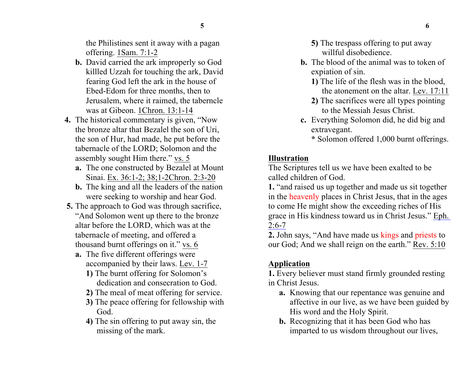the Philistines sent it away with a pagan offering. 1Sam. 7:1-2

- **b.** David carried the ark improperly so God killled Uzzah for touching the ark, David fearing God left the ark in the house of Ebed-Edom for three months, then to Jerusalem, where it raimed, the taberncle was at Gibeon. 1Chron. 13:1-14
- **4.** The historical commentary is given, "Now the bronze altar that Bezalel the son of Uri, the son of Hur, had made, he put before the tabernacle of the LORD; Solomon and the assembly sought Him there." vs. 5
	- **a.** The one constructed by Bezalel at Mount Sinai. Ex. 36:1-2; 38;1-2Chron. 2:3-20
	- **b.** The king and all the leaders of the nation were seeking to worship and hear God.
- **5.** The approach to God was through sacrifice, "And Solomon went up there to the bronze altar before the LORD, which was at the tabernacle of meeting, and offered a thousand burnt offerings on it." vs. 6
	- **a.** The five different offerings were accompanied by their laws. Lev. 1-7
		- **1)** The burnt offering for Solomon's dedication and consecration to God.
		- **2)** The meal of meat offering for service.
		- **3)** The peace offering for fellowship with God.
		- **4)** The sin offering to put away sin, the missing of the mark.
- **5)** The trespass offering to put away willful disobedience.
- **b.** The blood of the animal was to token of expiation of sin.
	- **1)** The life of the flesh was in the blood, the atonement on the altar. Lev. 17:11
	- **2)** The sacrifices were all types pointing to the Messiah Jesus Christ.
- **c.** Everything Solomon did, he did big and extravegant.

**\*** Solomon offered 1,000 burnt offerings.

## **Illustration**

The Scriptures tell us we have been exalted to be called children of God.

**1.** "and raised us up together and made us sit together in the heavenly places in Christ Jesus, that in the ages to come He might show the exceeding riches of His grace in His kindness toward us in Christ Jesus." Eph.  $2:6 - 7$ 

**2.** John says, "And have made us kings and priests to our God; And we shall reign on the earth." Rev. 5:10

# **Application**

**1.** Every believer must stand firmly grounded resting in Christ Jesus.

- **a.** Knowing that our repentance was genuine and affective in our live, as we have been guided by His word and the Holy Spirit.
- **b.** Recognizing that it has been God who has imparted to us wisdom throughout our lives,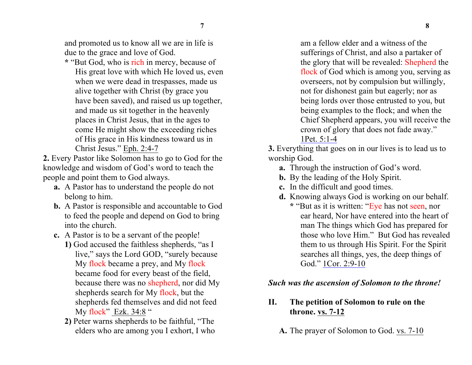and promoted us to know all we are in life is due to the grace and love of God.

**\*** "But God, who is rich in mercy, because of His great love with which He loved us, even when we were dead in trespasses, made us alive together with Christ (by grace you have been saved), and raised us up together, and made us sit together in the heavenly places in Christ Jesus, that in the ages to come He might show the exceeding riches of His grace in His kindness toward us in Christ Jesus." Eph. 2:4-7

**2.** Every Pastor like Solomon has to go to God for the knowledge and wisdom of God's word to teach the people and point them to God always.

- **a.** A Pastor has to understand the people do not belong to him.
- **b.** A Pastor is responsible and accountable to God to feed the people and depend on God to bring into the church.
- **c.** A Pastor is to be a servant of the people!
	- **1)** God accused the faithless shepherds, "as I live," says the Lord GOD, "surely because My flock became a prey, and My flock became food for every beast of the field, because there was no shepherd, nor did My shepherds search for My flock, but the shepherds fed themselves and did not feed My flock" Ezk. 34:8 "
	- **2)** Peter warns shepherds to be faithful, "The elders who are among you I exhort, I who

am a fellow elder and a witness of the sufferings of Christ, and also a partaker of the glory that will be revealed: Shepherd the flock of God which is among you, serving as overseers, not by compulsion but willingly, not for dishonest gain but eagerly; nor as being lords over those entrusted to you, but being examples to the flock; and when the Chief Shepherd appears, you will receive the crown of glory that does not fade away." 1Pet. 5:1-4

**3.** Everything that goes on in our lives is to lead us to worship God.

- **a.** Through the instruction of God's word.
- **b.** By the leading of the Holy Spirit.
- **c.** In the difficult and good times.
- **d.** Knowing always God is working on our behalf.
	- **\*** "But as it is written: "Eye has not seen, nor ear heard, Nor have entered into the heart of man The things which God has prepared for those who love Him." But God has revealed them to us through His Spirit. For the Spirit searches all things, yes, the deep things of God." 1Cor. 2:9-10

#### *Such was the ascension of Solomon to the throne!*

## **II. The petition of Solomon to rule on the throne. vs. 7-12**

**A.** The prayer of Solomon to God. vs. 7-10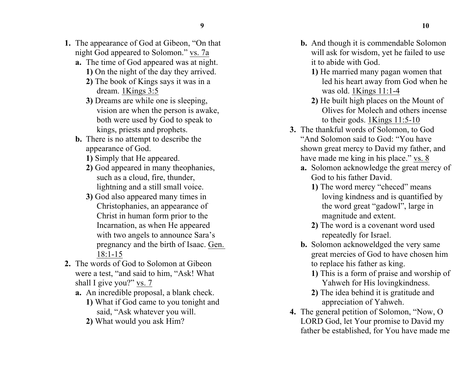- **1.** The appearance of God at Gibeon, "On that night God appeared to Solomon." vs. 7a
	- **a.** The time of God appeared was at night. **1)** On the night of the day they arrived.
		- **2)** The book of Kings says it was in a dream. 1Kings 3:5
		- **3)** Dreams are while one is sleeping, vision are when the person is awake, both were used by God to speak to kings, priests and prophets.
	- **b.** There is no attempt to describe the appearance of God.
		- **1)** Simply that He appeared.
		- **2)** God appeared in many theophanies, such as a cloud, fire, thunder, lightning and a still small voice.
		- **3)** God also appeared many times in Christophanies, an appearance of Christ in human form prior to the Incarnation, as when He appeared with two angels to announce Sara's pregnancy and the birth of Isaac. Gen. 18:1-15
- **2.** The words of God to Solomon at Gibeon were a test, "and said to him, "Ask! What shall I give you?" vs. 7
	- **a.** An incredible proposal, a blank check.
		- **1)** What if God came to you tonight and said, "Ask whatever you will.
		- **2)** What would you ask Him?
- **b.** And though it is commendable Solomon will ask for wisdom, yet he failed to use it to abide with God.
	- **1)** He married many pagan women that led his heart away from God when he was old. 1Kings 11:1-4
	- **2)** He built high places on the Mount of Olives for Molech and others incense to their gods. 1Kings 11:5-10
- **3.** The thankful words of Solomon, to God "And Solomon said to God: "You have shown great mercy to David my father, and have made me king in his place." vs. 8
	- **a.** Solomon acknowledge the great mercy of God to his father David.
		- **1)** The word mercy "checed" means loving kindness and is quantified by the word great "gadowl", large in magnitude and extent.
		- **2)** The word is a covenant word used repeatedly for Israel.
	- **b.** Solomon acknoweldged the very same great mercies of God to have chosen him to replace his father as king.
		- **1)** This is a form of praise and worship of Yahweh for His lovingkindness.
		- **2)** The idea behind it is gratitude and appreciation of Yahweh.
- **4.** The general petition of Solomon, "Now, O LORD God, let Your promise to David my father be established, for You have made me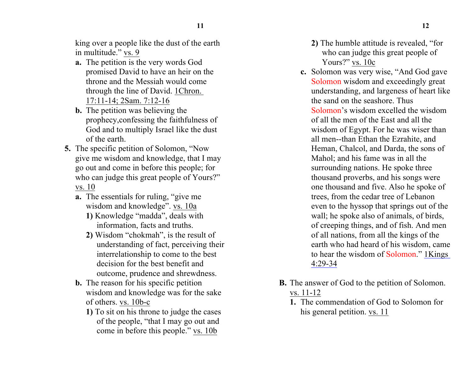king over a people like the dust of the earth in multitude." vs. 9

- **a.** The petition is the very words God promised David to have an heir on the throne and the Messiah would come through the line of David. 1Chron. 17:11-14; 2Sam. 7:12-16
- **b.** The petition was believing the prophecy,confessing the faithfulness of God and to multiply Israel like the dust of the earth.
- **5.** The specific petition of Solomon, "Now give me wisdom and knowledge, that I may go out and come in before this people; for who can judge this great people of Yours?" vs. 10
	- **a.** The essentials for ruling, "give me wisdom and knowledge". vs. 10a
		- **1)** Knowledge "madda", deals with information, facts and truths.
		- **2)** Wisdom "chokmah", is the result of understanding of fact, perceiving their interrelationship to come to the best decision for the best benefit and outcome, prudence and shrewdness.
	- **b.** The reason for his specific petition wisdom and knowledge was for the sake of others. vs. 10b-c
		- **1)** To sit on his throne to judge the cases of the people, "that I may go out and come in before this people." vs. 10b
- **2)** The humble attitude is revealed, "for who can judge this great people of Yours?" vs. 10c
- **c.** Solomon was very wise, "And God gave Solomon wisdom and exceedingly great understanding, and largeness of heart like the sand on the seashore. Thus Solomon's wisdom excelled the wisdom of all the men of the East and all the wisdom of Egypt. For he was wiser than all men--than Ethan the Ezrahite, and Heman, Chalcol, and Darda, the sons of Mahol; and his fame was in all the surrounding nations. He spoke three thousand proverbs, and his songs were one thousand and five. Also he spoke of trees, from the cedar tree of Lebanon even to the hyssop that springs out of the wall; he spoke also of animals, of birds, of creeping things, and of fish. And men of all nations, from all the kings of the earth who had heard of his wisdom, came to hear the wisdom of Solomon." 1Kings 4:29-34
- **B.** The answer of God to the petition of Solomon. vs. 11-12
	- **1.** The commendation of God to Solomon for his general petition. vs. 11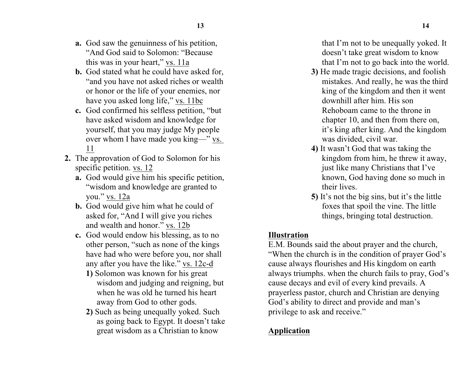- **a.** God saw the genuinness of his petition, "And God said to Solomon: "Because this was in your heart," vs. 11a
- **b.** God stated what he could have asked for, "and you have not asked riches or wealth or honor or the life of your enemies, nor have you asked long life," vs. 11bc
- **c.** God confirmed his selfless petition, "but have asked wisdom and knowledge for yourself, that you may judge My people over whom I have made you king—" vs. 11
- **2.** The approvation of God to Solomon for his specific petition. vs. 12
	- **a.** God would give him his specific petition, "wisdom and knowledge are granted to you." vs. 12a
	- **b.** God would give him what he could of asked for, "And I will give you riches and wealth and honor." vs. 12b
	- **c.** God would endow his blessing, as to no other person, "such as none of the kings have had who were before you, nor shall any after you have the like." vs. 12c-d
		- **1)** Solomon was known for his great wisdom and judging and reigning, but when he was old he turned his heart away from God to other gods.
		- **2)** Such as being unequally yoked. Such as going back to Egypt. It doesn't take great wisdom as a Christian to know

that I'm not to be unequally yoked. It doesn't take great wisdom to know that I'm not to go back into the world.

- **3)** He made tragic decisions, and foolish mistakes. And really, he was the third king of the kingdom and then it went downhill after him. His son Rehoboam came to the throne in chapter 10, and then from there on, it's king after king. And the kingdom was divided, civil war.
- **4)** It wasn't God that was taking the kingdom from him, he threw it away, just like many Christians that I've known, God having done so much in their lives.
- **5)** It's not the big sins, but it's the little foxes that spoil the vine. The little things, bringing total destruction.

#### **Illustration**

E.M. Bounds said the about prayer and the church, "When the church is in the condition of prayer God's cause always flourishes and His kingdom on earth always triumphs. when the church fails to pray, God's cause decays and evil of every kind prevails. A prayerless pastor, church and Christian are denying God's ability to direct and provide and man's privilege to ask and receive."

# **Application**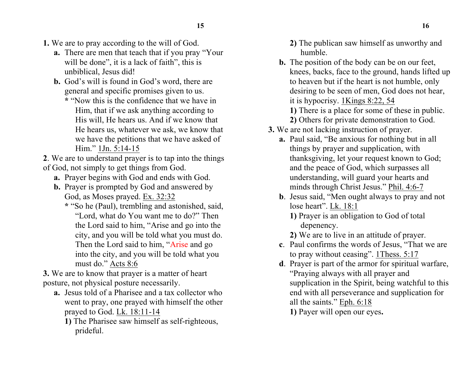- **15 16**
- **1.** We are to pray according to the will of God.
	- **a.** There are men that teach that if you pray "Your will be done", it is a lack of faith", this is unbiblical, Jesus did!
	- **b.** God's will is found in God's word, there are general and specific promises given to us.
		- **\*** "Now this is the confidence that we have in Him, that if we ask anything according to His will, He hears us. And if we know that He hears us, whatever we ask, we know that we have the petitions that we have asked of Him." 1Jn. 5:14-15
- **2**. We are to understand prayer is to tap into the things of God, not simply to get things from God.
	- **a.** Prayer begins with God and ends with God.
	- **b.** Prayer is prompted by God and answered by God, as Moses prayed. Ex. 32:32
		- **\*** "So he (Paul), trembling and astonished, said, "Lord, what do You want me to do?" Then the Lord said to him, "Arise and go into the city, and you will be told what you must do. Then the Lord said to him, "Arise and go into the city, and you will be told what you must do." Acts 8:6
- **3.** We are to know that prayer is a matter of heart posture, not physical posture necessarily.
	- **a.** Jesus told of a Pharisee and a tax collector who went to pray, one prayed with himself the other prayed to God. Lk. 18:11-14
		- **1)** The Pharisee saw himself as self-righteous, prideful.
- **2)** The publican saw himself as unworthy and humble.
- **b.** The position of the body can be on our feet, knees, backs, face to the ground, hands lifted up to heaven but if the heart is not humble, only desiring to be seen of men, God does not hear, it is hypocrisy. 1Kings 8:22, 54 **1)** There is a place for some of these in public.
	- **2)** Others for private demonstration to God.
- **3.** We are not lacking instruction of prayer.
	- **a.** Paul said, "Be anxious for nothing but in all things by prayer and supplication, with thanksgiving, let your request known to God; and the peace of God, which surpasses all understanding, will guard your hearts and minds through Christ Jesus." Phil. 4:6-7
	- **b**. Jesus said, "Men ought always to pray and not lose heart". Lk. 18:1
		- **1)** Prayer is an obligation to God of total depenency.
		- **2)** We are to live in an attitude of prayer.
	- **c**. Paul confirms the words of Jesus, "That we are to pray without ceasing". 1Thess. 5:17
	- **d**. Prayer is part of the armor for spiritual warfare, "Praying always with all prayer and supplication in the Spirit, being watchful to this end with all perseverance and supplication for all the saints." Eph. 6:18 **1)** Payer will open our eyes**.**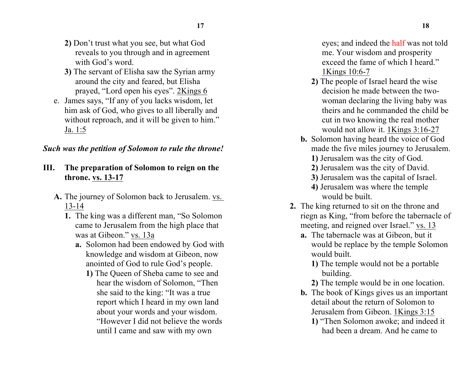- **2)** Don't trust what you see, but what God reveals to you through and in agreement with God's word.
- **3)** The servant of Elisha saw the Syrian army around the city and feared, but Elisha prayed, "Lord open his eyes". 2Kings 6
- e. James says, "If any of you lacks wisdom, let him ask of God, who gives to all liberally and without reproach, and it will be given to him." Ja. 1:5

#### *Such was the petition of Solomon to rule the throne!*

- **III. The preparation of Solomon to reign on the throne. vs. 13-17**
	- **A.** The journey of Solomon back to Jerusalem. vs. 13-14
		- **1.** The king was a different man, "So Solomon came to Jerusalem from the high place that was at Gibeon." vs. 13a
			- **a.** Solomon had been endowed by God with knowledge and wisdom at Gibeon, now anointed of God to rule God's people.
				- **1)** The Queen of Sheba came to see and hear the wisdom of Solomon, "Then she said to the king: "It was a true report which I heard in my own land about your words and your wisdom. "However I did not believe the words until I came and saw with my own

eyes; and indeed the half was not told me. Your wisdom and prosperity exceed the fame of which I heard." 1Kings 10:6-7

- **2)** The people of Israel heard the wise decision he made between the twowoman declaring the living baby was theirs and he commanded the child be cut in two knowing the real mother would not allow it. 1Kings 3:16-27
- **b.** Solomon having heard the voice of God made the five miles journey to Jerusalem.
	- **1)** Jerusalem was the city of God.
	- **2)** Jerusalem was the city of David.
	- **3)** Jerusalem was the capital of Israel.
	- **4)** Jerusalem was where the temple would be built.
- **2.** The king returned to sit on the throne and riegn as King, "from before the tabernacle of meeting, and reigned over Israel." vs. 13
	- **a.** The tabernacle was at Gibeon, but it would be replace by the temple Solomon would built.
		- **1)** The temple would not be a portable building.
		- **2)** The temple would be in one location.
	- **b.** The book of Kings gives us an important detail about the return of Solomon to Jerusalem from Gibeon. 1Kings 3:15
		- **1)** "Then Solomon awoke; and indeed it had been a dream. And he came to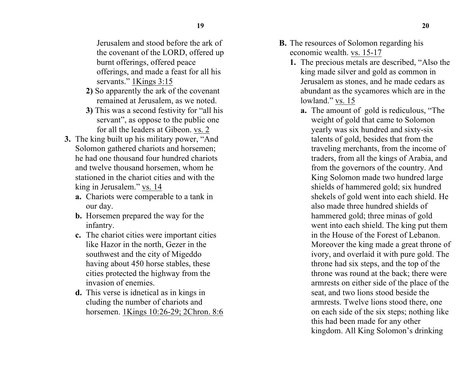Jerusalem and stood before the ark of the covenant of the LORD, offered up burnt offerings, offered peace offerings, and made a feast for all his servants." 1Kings 3:15

- **2)** So apparently the ark of the covenant remained at Jerusalem, as we noted.
- **3)** This was a second festivity for "all his servant", as oppose to the public one for all the leaders at Gibeon. vs. 2
- **3.** The king built up his military power, "And Solomon gathered chariots and horsemen; he had one thousand four hundred chariots and twelve thousand horsemen, whom he stationed in the chariot cities and with the king in Jerusalem." vs. 14
	- **a.** Chariots were comperable to a tank in our day.
	- **b.** Horsemen prepared the way for the infantry.
	- **c.** The chariot cities were important cities like Hazor in the north, Gezer in the southwest and the city of Migeddo having about 450 horse stables, these cities protected the highway from the invasion of enemies.
	- **d.** This verse is idnetical as in kings in cluding the number of chariots and horsemen. 1Kings 10:26-29; 2Chron. 8:6
- **B.** The resources of Solomon regarding his economic wealth. vs. 15-17
	- **1.** The precious metals are described, "Also the king made silver and gold as common in Jerusalem as stones, and he made cedars as abundant as the sycamores which are in the lowland." vs. 15
		- **a.** The amount of gold is rediculous, "The weight of gold that came to Solomon yearly was six hundred and sixty-six talents of gold, besides that from the traveling merchants, from the income of traders, from all the kings of Arabia, and from the governors of the country. And King Solomon made two hundred large shields of hammered gold; six hundred shekels of gold went into each shield. He also made three hundred shields of hammered gold; three minas of gold went into each shield. The king put them in the House of the Forest of Lebanon. Moreover the king made a great throne of ivory, and overlaid it with pure gold. The throne had six steps, and the top of the throne was round at the back; there were armrests on either side of the place of the seat, and two lions stood beside the armrests. Twelve lions stood there, one on each side of the six steps; nothing like this had been made for any other kingdom. All King Solomon's drinking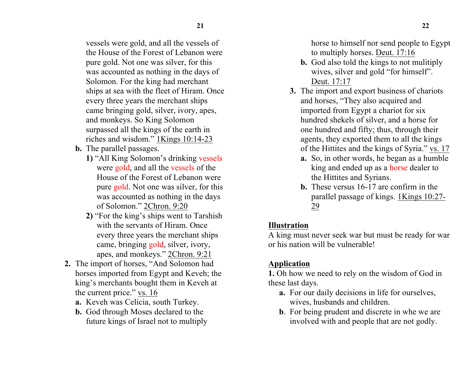vessels were gold, and all the vessels of the House of the Forest of Lebanon were pure gold. Not one was silver, for this was accounted as nothing in the days of Solomon. For the king had merchant ships at sea with the fleet of Hiram. Once every three years the merchant ships came bringing gold, silver, ivory, apes, and monkeys. So King Solomon surpassed all the kings of the earth in riches and wisdom." 1Kings 10:14-23

- **b.** The parallel passages.
	- **1)** "All King Solomon's drinking vessels were gold, and all the vessels of the House of the Forest of Lebanon were pure gold. Not one was silver, for this was accounted as nothing in the days of Solomon." 2Chron. 9:20
	- **2)** "For the king's ships went to Tarshish with the servants of Hiram. Once every three years the merchant ships came, bringing gold, silver, ivory, apes, and monkeys." 2Chron. 9:21
- **2.** The import of horses, "And Solomon had horses imported from Egypt and Keveh; the king's merchants bought them in Keveh at the current price." vs. 16
	- **a.** Keveh was Celicia, south Turkey.
	- **b.** God through Moses declared to the future kings of Israel not to multiply

horse to himself nor send people to Egypt to multiply horses. Deut. 17:16

- **b.** God also told the kings to not mulitiply wives, silver and gold "for himself". Deut. 17:17
- **3.** The import and export business of chariots and horses, "They also acquired and imported from Egypt a chariot for six hundred shekels of silver, and a horse for one hundred and fifty; thus, through their agents, they exported them to all the kings of the Hittites and the kings of Syria." vs. 17
	- **a.** So, in other words, he began as a humble king and ended up as a horse dealer to the Hittites and Syrians.
	- **b.** These versus 16-17 are confirm in the parallel passage of kings. 1Kings 10:27- 29

# **Illustration**

A king must never seek war but must be ready for war or his nation will be vulnerable!

# **Application**

**1.** Oh how we need to rely on the wisdom of God in these last days.

- **a.** For our daily decisions in life for ourselves, wives, husbands and children.
- **b**. For being prudent and discrete in whe we are involved with and people that are not godly.